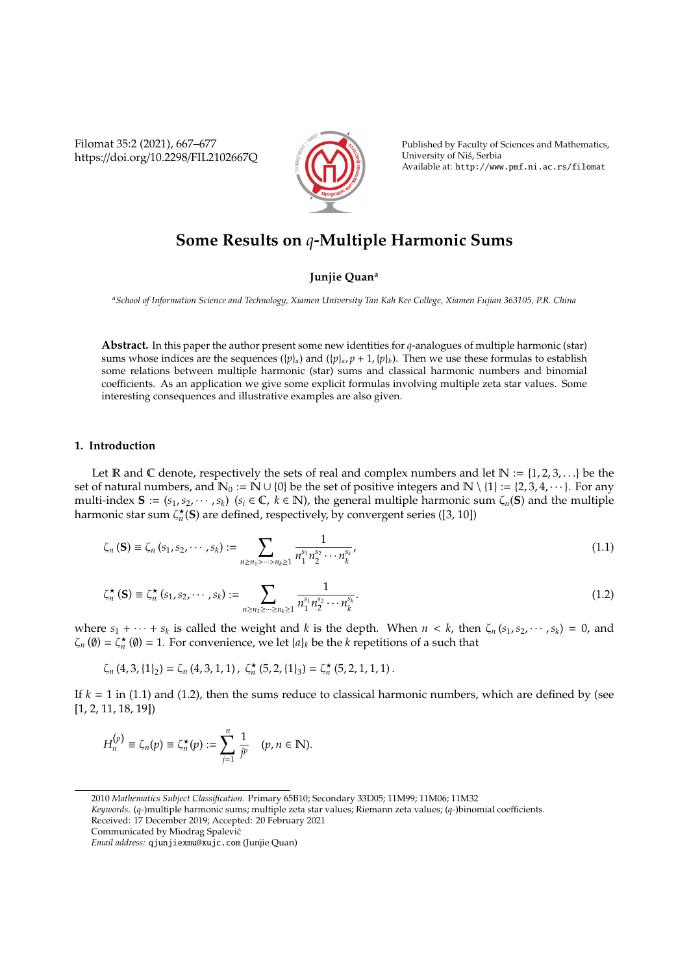Filomat 35:2 (2021), 667–677 https://doi.org/10.2298/FIL2102667Q



Published by Faculty of Sciences and Mathematics, University of Nis, Serbia ˇ Available at: http://www.pmf.ni.ac.rs/filomat

# **Some Results on** *q***-Multiple Harmonic Sums**

## **Junjie Quan<sup>a</sup>**

*<sup>a</sup>School of Information Science and Technology, Xiamen University Tan Kah Kee College, Xiamen Fujian 363105, P.R. China*

**Abstract.** In this paper the author present some new identities for *q*-analogues of multiple harmonic (star) sums whose indices are the sequences  $({p}_a)$  and  $({p}_a, p+1, {p}_b)$ . Then we use these formulas to establish some relations between multiple harmonic (star) sums and classical harmonic numbers and binomial coefficients. As an application we give some explicit formulas involving multiple zeta star values. Some interesting consequences and illustrative examples are also given.

#### **1. Introduction**

Let R and C denote, respectively the sets of real and complex numbers and let  $\mathbb{N} := \{1, 2, 3, \ldots\}$  be the set of natural numbers, and  $\mathbb{N}_0 := \mathbb{N} \cup \{0\}$  be the set of positive integers and  $\mathbb{N} \setminus \{1\} := \{2, 3, 4, \dots\}$ . For any multi-index  $S := (s_1, s_2, \dots, s_k)$   $(s_i \in \mathbb{C}, k \in \mathbb{N})$ , the general multiple harmonic sum  $\zeta_n(S)$  and the multiple harmonic star sum  $\zeta_n^{\star}(\mathbf{S})$  are defined, respectively, by convergent series ([3, 10])

$$
\zeta_n(\mathbf{S}) \equiv \zeta_n(s_1, s_2, \cdots, s_k) := \sum_{n \ge n_1 > \cdots > n_k \ge 1} \frac{1}{n_1^{s_1} n_2^{s_2} \cdots n_k^{s_k}},\tag{1.1}
$$

$$
\zeta_n^{\star}(\mathbf{S}) \equiv \zeta_n^{\star} (s_1, s_2, \cdots, s_k) := \sum_{n \ge n_1 \ge \cdots \ge n_k \ge 1} \frac{1}{n_1^{s_1} n_2^{s_2} \cdots n_k^{s_k}}.
$$
(1.2)

where  $s_1 + \cdots + s_k$  is called the weight and *k* is the depth. When  $n < k$ , then  $\zeta_n(s_1, s_2, \cdots, s_k) = 0$ , and  $\zeta_n$  ( $\emptyset$ ) =  $\zeta_n^{\star}$  ( $\emptyset$ ) = 1. For convenience, we let  $\{a\}_k$  be the *k* repetitions of a such that

$$
\zeta_n\left(4,3,\{1\}_2\right)=\zeta_n\left(4,3,1,1\right),\ \zeta_n^{\star}\left(5,2,\{1\}_3\right)=\zeta_n^{\star}\left(5,2,1,1,1\right).
$$

If  $k = 1$  in (1.1) and (1.2), then the sums reduce to classical harmonic numbers, which are defined by (see [1, 2, 11, 18, 19])

$$
H_n^{(p)} \equiv \zeta_n(p) \equiv \zeta_n^{\star}(p) := \sum_{j=1}^n \frac{1}{j^p} \quad (p, n \in \mathbb{N}).
$$

*Keywords*. (*q*-)multiple harmonic sums; multiple zeta star values; Riemann zeta values; (*q*-)binomial coefficients. Received: 17 December 2019; Accepted: 20 February 2021

<sup>2010</sup> *Mathematics Subject Classification*. Primary 65B10; Secondary 33D05; 11M99; 11M06; 11M32

Communicated by Miodrag Spalevic´

*Email address:* qjunjiexmu@xujc.com (Junjie Quan)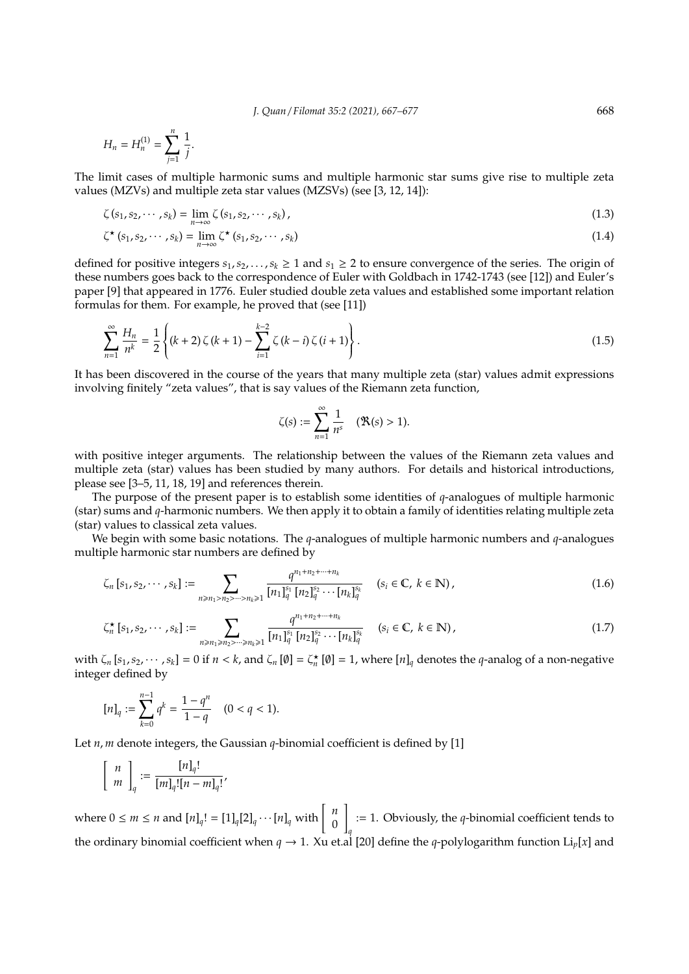*J. Quan* / *Filomat 35:2 (2021), 667–677* 668

$$
H_n = H_n^{(1)} = \sum_{j=1}^n \frac{1}{j}.
$$

The limit cases of multiple harmonic sums and multiple harmonic star sums give rise to multiple zeta values (MZVs) and multiple zeta star values (MZSVs) (see [3, 12, 14]):

$$
\zeta(s_1, s_2, \cdots, s_k) = \lim_{n \to \infty} \zeta(s_1, s_2, \cdots, s_k),
$$
\n(1.3)

$$
\zeta^{\star}\left(s_{1}, s_{2}, \cdots, s_{k}\right) = \lim_{n \to \infty} \zeta^{\star}\left(s_{1}, s_{2}, \cdots, s_{k}\right) \tag{1.4}
$$

defined for positive integers  $s_1, s_2, \ldots, s_k \ge 1$  and  $s_1 \ge 2$  to ensure convergence of the series. The origin of these numbers goes back to the correspondence of Euler with Goldbach in 1742-1743 (see [12]) and Euler's paper [9] that appeared in 1776. Euler studied double zeta values and established some important relation formulas for them. For example, he proved that (see [11])

$$
\sum_{n=1}^{\infty} \frac{H_n}{n^k} = \frac{1}{2} \left\{ (k+2) \zeta (k+1) - \sum_{i=1}^{k-2} \zeta (k-i) \zeta (i+1) \right\}.
$$
 (1.5)

It has been discovered in the course of the years that many multiple zeta (star) values admit expressions involving finitely "zeta values", that is say values of the Riemann zeta function,

$$
\zeta(s) := \sum_{n=1}^{\infty} \frac{1}{n^s} \quad (\mathfrak{R}(s) > 1).
$$

with positive integer arguments. The relationship between the values of the Riemann zeta values and multiple zeta (star) values has been studied by many authors. For details and historical introductions, please see [3–5, 11, 18, 19] and references therein.

The purpose of the present paper is to establish some identities of *q*-analogues of multiple harmonic (star) sums and *q*-harmonic numbers. We then apply it to obtain a family of identities relating multiple zeta (star) values to classical zeta values.

We begin with some basic notations. The *q*-analogues of multiple harmonic numbers and *q*-analogues multiple harmonic star numbers are defined by

$$
\zeta_n \left[ s_1, s_2, \cdots, s_k \right] := \sum_{n \ge n_1 > n_2 > \cdots > n_k \ge 1} \frac{q^{n_1 + n_2 + \cdots + n_k}}{\left[ n_1 \right]_q^{s_1} \left[ n_2 \right]_q^{s_2} \cdots \left[ n_k \right]_q^{s_k}} \quad (s_i \in \mathbb{C}, \ k \in \mathbb{N}), \tag{1.6}
$$

$$
\zeta_n^{\star} [s_1, s_2, \cdots, s_k] := \sum_{n \ge n_1 \ge n_2 > \cdots > n_k \ge 1} \frac{q^{n_1 + n_2 + \cdots + n_k}}{[n_1]_q^{s_1} [n_2]_q^{s_2} \cdots [n_k]_q^{s_k}} \quad (s_i \in \mathbb{C}, \ k \in \mathbb{N}), \tag{1.7}
$$

with  $\zeta_n$   $[s_1, s_2, \dots, s_k] = 0$  if  $n < k$ , and  $\zeta_n$  [Ø] =  $\zeta_n^{\star}$  [Ø] = 1, where  $[n]_q$  denotes the *q*-analog of a non-negative integer defined by

$$
[n]_q:=\sum_{k=0}^{n-1}q^k=\frac{1-q^n}{1-q}\quad (0
$$

Let *n*, *m* denote integers, the Gaussian *q*-binomial coefficient is defined by [1]

$$
\left[\begin{array}{c} n \\ m \end{array}\right]_q := \frac{[n]_q!}{[m]_q! [n-m]_q!}
$$

where  $0 \le m \le n$  and  $[n]_q! = [1]_q[2]_q \cdots [n]_q$  with  $\begin{bmatrix} n \\ 0 \end{bmatrix}$  $\boldsymbol{0}$ 1 *q* := 1. Obviously, the *q*-binomial coefficient tends to the ordinary binomial coefficient when  $q \to 1$ . Xu et.al [20] define the *q*-polylogarithm function Li<sub>p</sub>[x] and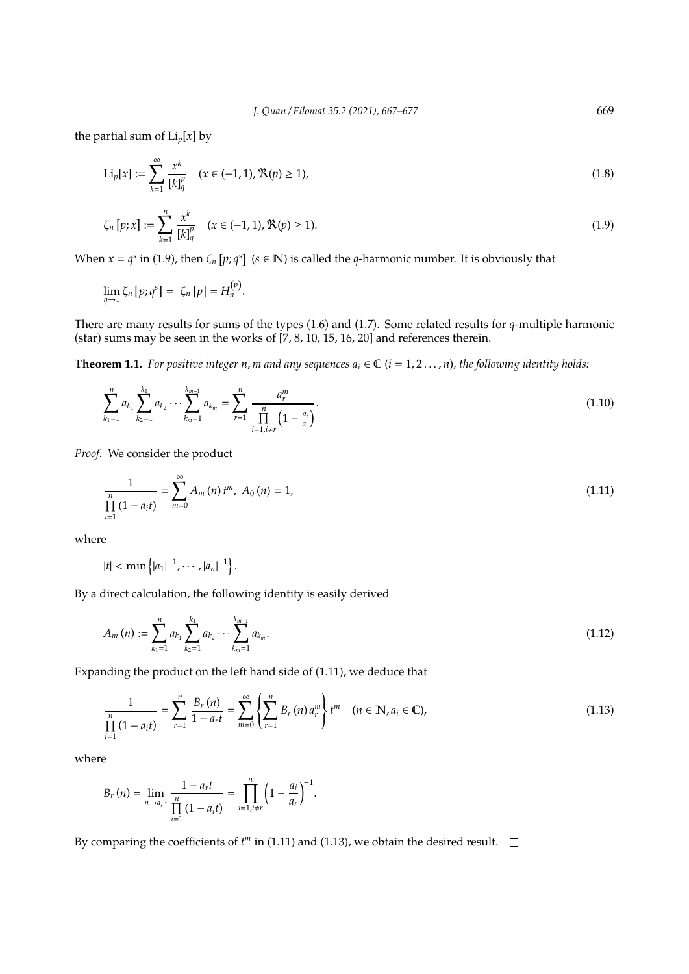the partial sum of  $Li_p[x]$  by

$$
\text{Li}_p[x] := \sum_{k=1}^{\infty} \frac{x^k}{[k]_q^p} \quad (x \in (-1, 1), \mathfrak{R}(p) \ge 1), \tag{1.8}
$$

$$
\zeta_n \left[ p; x \right] := \sum_{k=1}^n \frac{x^k}{\left[ k \right]_q^p} \quad (x \in (-1, 1), \mathfrak{R}(p) \ge 1). \tag{1.9}
$$

When  $x = q^s$  in (1.9), then  $\zeta_n [p; q^s]$  ( $s \in \mathbb{N}$ ) is called the *q*-harmonic number. It is obviously that

$$
\lim_{q\to 1} \zeta_n [p; q^s] = \zeta_n [p] = H_n^{(p)}.
$$

There are many results for sums of the types (1.6) and (1.7). Some related results for *q*-multiple harmonic (star) sums may be seen in the works of  $\left[7, 8, 10, 15, 16, 20\right]$  and references therein.

**Theorem 1.1.** *For positive integer n, m and any sequences*  $a_i \in \mathbb{C}$  *(i = 1, 2, ..., n), the following identity holds:* 

$$
\sum_{k_1=1}^n a_{k_1} \sum_{k_2=1}^{k_1} a_{k_2} \cdots \sum_{k_m=1}^{k_{m-1}} a_{k_m} = \sum_{r=1}^n \frac{a_r^m}{\prod_{\substack{i=1, i\neq r}}^n \left(1 - \frac{a_i}{a_r}\right)}.
$$
\n(1.10)

*Proof.* We consider the product

$$
\frac{1}{\prod_{i=1}^{n} (1 - a_i t)} = \sum_{m=0}^{\infty} A_m(n) t^m, A_0(n) = 1,
$$
\n(1.11)

where

$$
|t| < \min\left\{|a_1|^{-1}, \cdots, |a_n|^{-1}\right\}.
$$

By a direct calculation, the following identity is easily derived

$$
A_m(n) := \sum_{k_1=1}^n a_{k_1} \sum_{k_2=1}^{k_1} a_{k_2} \cdots \sum_{k_m=1}^{k_{m-1}} a_{k_m}.
$$
\n(1.12)

Expanding the product on the left hand side of (1.11), we deduce that

$$
\frac{1}{\prod_{i=1}^{n} (1 - a_i t)} = \sum_{r=1}^{n} \frac{B_r(n)}{1 - a_r t} = \sum_{m=0}^{\infty} \left\{ \sum_{r=1}^{n} B_r(n) a_r^m \right\} t^m \quad (n \in \mathbb{N}, a_i \in \mathbb{C}), \tag{1.13}
$$

where

$$
B_r(n) = \lim_{n \to a_r^{-1}} \frac{1 - a_r t}{\prod_{i=1}^n (1 - a_i t)} = \prod_{i=1, i \neq r}^n \left(1 - \frac{a_i}{a_r}\right)^{-1}.
$$

By comparing the coefficients of  $t^m$  in (1.11) and (1.13), we obtain the desired result.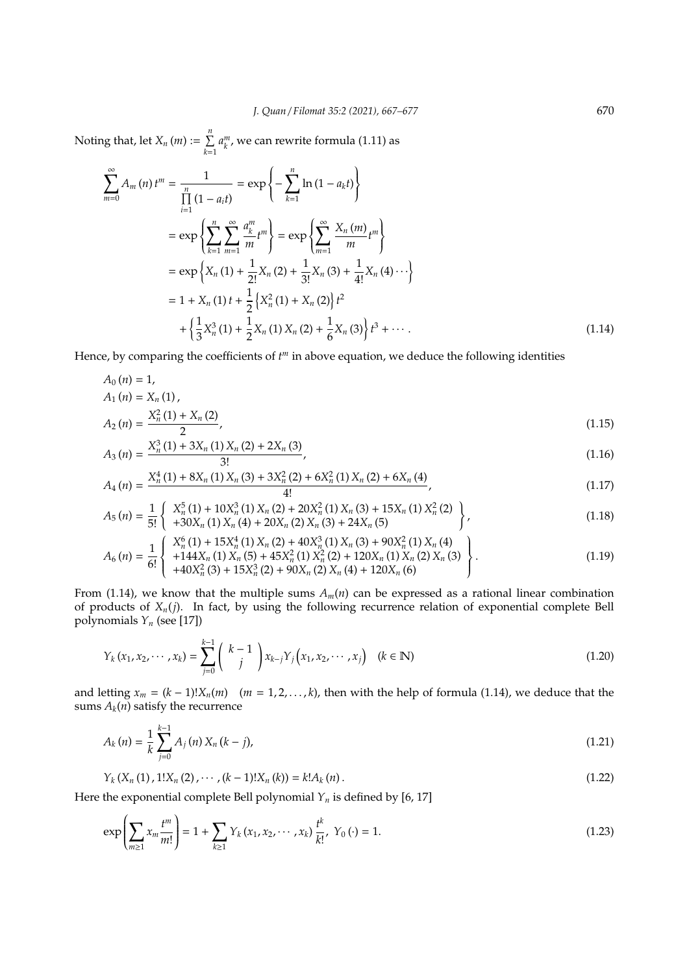Noting that, let  $X_n(m) := \sum^{n}$ *k*=1  $a_k^m$ , we can rewrite formula (1.11) as

$$
\sum_{m=0}^{\infty} A_m(n) t^m = \frac{1}{\prod_{i=1}^n (1 - a_i t)} = \exp \left\{ - \sum_{k=1}^n \ln (1 - a_k t) \right\}
$$
  
\n
$$
= \exp \left\{ \sum_{k=1}^n \sum_{m=1}^{\infty} \frac{a_k^m}{m} t^m \right\} = \exp \left\{ \sum_{m=1}^{\infty} \frac{X_n(m)}{m} t^m \right\}
$$
  
\n
$$
= \exp \left\{ X_n(1) + \frac{1}{2!} X_n(2) + \frac{1}{3!} X_n(3) + \frac{1}{4!} X_n(4) \cdots \right\}
$$
  
\n
$$
= 1 + X_n(1) t + \frac{1}{2} \left\{ X_n^2(1) + X_n(2) \right\} t^2
$$
  
\n
$$
+ \left\{ \frac{1}{3} X_n^3(1) + \frac{1}{2} X_n(1) X_n(2) + \frac{1}{6} X_n(3) \right\} t^3 + \cdots
$$
 (1.14)

Hence, by comparing the coefficients of  $t<sup>m</sup>$  in above equation, we deduce the following identities

$$
A_0(n) = 1,
$$
  
\n
$$
A_1(n) = X_n(1),
$$
  
\n
$$
X^2(1) + X(2)
$$

$$
A_2(n) = \frac{X_n^2(1) + X_n(2)}{2},\tag{1.15}
$$

$$
A_3(n) = \frac{X_n^3(1) + 3X_n(1)X_n(2) + 2X_n(3)}{3!},
$$
\n(1.16)

$$
A_4(n) = \frac{X_n^4(1) + 8X_n(1)X_n(3) + 3X_n^2(2) + 6X_n^2(1)X_n(2) + 6X_n(4)}{4!},
$$
\n(1.17)

$$
A_5(n) = \frac{1}{5!} \left\{ \begin{array}{l} X_n^5(1) + 10X_n^3(1) X_n(2) + 20X_n^2(1) X_n(3) + 15X_n(1) X_n^2(2) \\ + 30X_n(1) X_n(4) + 20X_n(2) X_n(3) + 24X_n(5) \end{array} \right\},
$$
(1.18)

$$
A_6(n) = \frac{1}{6!} \begin{Bmatrix} X_n^6(1) + 15X_n^4(1) X_n(2) + 40X_n^3(1) X_n(3) + 90X_n^2(1) X_n(4) \\ +144X_n(1) X_n(5) + 45X_n^2(1) X_n^2(2) + 120X_n(1) X_n(2) X_n(3) \\ +40X_n^2(3) + 15X_n^3(2) + 90X_n(2) X_n(4) + 120X_n(6) \end{Bmatrix}.
$$
 (1.19)

From (1.14), we know that the multiple sums  $A_m(n)$  can be expressed as a rational linear combination of products of *Xn*(*j*). In fact, by using the following recurrence relation of exponential complete Bell polynomials *Y<sup>n</sup>* (see [17])

$$
Y_k(x_1, x_2, \cdots, x_k) = \sum_{j=0}^{k-1} {k-1 \choose j} x_{k-j} Y_j (x_1, x_2, \cdots, x_j) \quad (k \in \mathbb{N})
$$
\n(1.20)

and letting  $x_m = (k-1)!X_n(m)$  ( $m = 1, 2, ..., k$ ), then with the help of formula (1.14), we deduce that the sums  $A_k(n)$  satisfy the recurrence

$$
A_k(n) = \frac{1}{k} \sum_{j=0}^{k-1} A_j(n) X_n(k-j),
$$
\n(1.21)

$$
Y_k(X_n(1), 1!X_n(2), \cdots, (k-1)!X_n(k)) = k!A_k(n).
$$
\n(1.22)

Here the exponential complete Bell polynomial  $Y_n$  is defined by [6, 17]

$$
\exp\left(\sum_{m\geq 1} x_m \frac{t^m}{m!}\right) = 1 + \sum_{k\geq 1} Y_k (x_1, x_2, \cdots, x_k) \frac{t^k}{k!}, \ Y_0(\cdot) = 1. \tag{1.23}
$$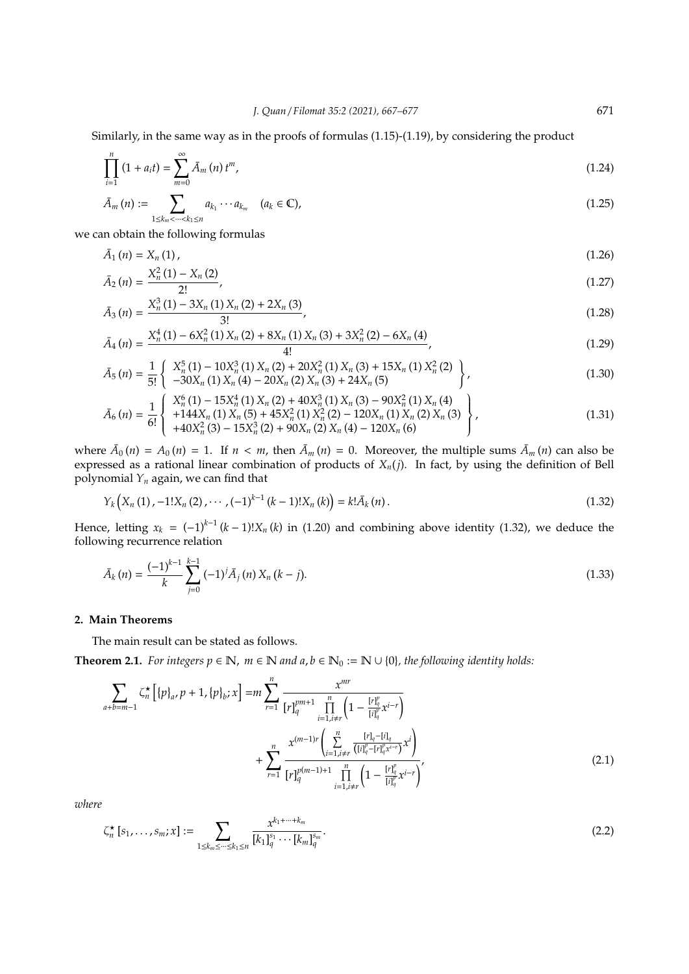Similarly, in the same way as in the proofs of formulas (1.15)-(1.19), by considering the product

$$
\prod_{i=1}^{n} (1 + a_i t) = \sum_{m=0}^{\infty} \bar{A}_m(n) t^m,
$$
\n(1.24)

$$
\bar{A}_m(n) := \sum_{1 \le k_m < \dots < k_1 \le n} a_{k_1} \cdots a_{k_m} \quad (a_k \in \mathbb{C}),\tag{1.25}
$$

we can obtain the following formulas

$$
\bar{A}_1(n) = X_n(1), \tag{1.26}
$$

$$
\bar{A}_2(n) = \frac{X_n^2(1) - X_n(2)}{2!},\tag{1.27}
$$

$$
\bar{A}_3(n) = \frac{X_n^3(1) - 3X_n(1)X_n(2) + 2X_n(3)}{3!},
$$
\n(1.28)

$$
\bar{A}_4(n) = \frac{X_n^4(1) - 6X_n^2(1)X_n(2) + 8X_n(1)X_n(3) + 3X_n^2(2) - 6X_n(4)}{4!},
$$
\n(1.29)

$$
\bar{A}_5(n) = \frac{1}{5!} \left\{ \begin{array}{l} X_n^5(1) - 10X_n^3(1) X_n(2) + 20X_n^2(1) X_n(3) + 15X_n(1) X_n^2(2) \\ -30X_n(1) X_n(4) - 20X_n(2) X_n(3) + 24X_n(5) \end{array} \right\},
$$
\n(1.30)

$$
\bar{A}_6(n) = \frac{1}{6!} \begin{Bmatrix} X_n^6(1) - 15X_n^4(1) X_n(2) + 40X_n^3(1) X_n(3) - 90X_n^2(1) X_n(4) \\ +144X_n(1) X_n(5) + 45X_n^2(1) X_n^2(2) - 120X_n(1) X_n(2) X_n(3) \\ +40X_n^2(3) - 15X_n^3(2) + 90X_n(2) X_n(4) - 120X_n(6) \end{Bmatrix},
$$
\n(1.31)

where  $\bar{A}_0(n) = A_0(n) = 1$ . If  $n < m$ , then  $\bar{A}_m(n) = 0$ . Moreover, the multiple sums  $\bar{A}_m(n)$  can also be expressed as a rational linear combination of products of *Xn*(*j*). In fact, by using the definition of Bell polynomial *Y<sup>n</sup>* again, we can find that

$$
Y_k(X_n(1), -1!X_n(2), \cdots, (-1)^{k-1} (k-1)!X_n(k)) = k! \bar{A}_k(n).
$$
\n(1.32)

Hence, letting  $x_k = (-1)^{k-1} (k-1)! X_n (k)$  in (1.20) and combining above identity (1.32), we deduce the following recurrence relation

$$
\bar{A}_k(n) = \frac{(-1)^{k-1}}{k} \sum_{j=0}^{k-1} (-1)^j \bar{A}_j(n) X_n(k-j).
$$
\n(1.33)

## **2. Main Theorems**

The main result can be stated as follows.

**Theorem 2.1.** *For integers*  $p \in \mathbb{N}$ *,*  $m \in \mathbb{N}$  *and*  $a, b \in \mathbb{N}_0 := \mathbb{N} \cup \{0\}$ *, the following identity holds:* 

$$
\sum_{a+b=m-1} \zeta_n^{\star} \left[ \{ p \}_a, p+1, \{ p \}_b; x \right] = m \sum_{r=1}^n \frac{x^{mr}}{[r]_q^{pm+1} \prod_{i=1, i \neq r}^n \left( 1 - \frac{[r]_q^p}{[i]_q^p} x^{i-r} \right)} + \sum_{r=1}^n \frac{x^{(m-1)r} \left( \sum_{i=1, i \neq r}^n \frac{[r]_q - [i]_q}{([i]_q^p - [r]_q^p x^{i-r}} x^i \right)}{[r]_q^{p(m-1)+1} \prod_{i=1, i \neq r}^n \left( 1 - \frac{[r]_q^p}{[i]_q^p} x^{i-r} \right)},
$$
\n(2.1)

*where*

$$
\zeta_n^{\star} [s_1, \dots, s_m; x] := \sum_{1 \le k_m \le \dots \le k_1 \le n} \frac{x^{k_1 + \dots + k_m}}{[k_1]_q^{s_1} \cdots [k_m]_q^{s_m}}.
$$
\n(2.2)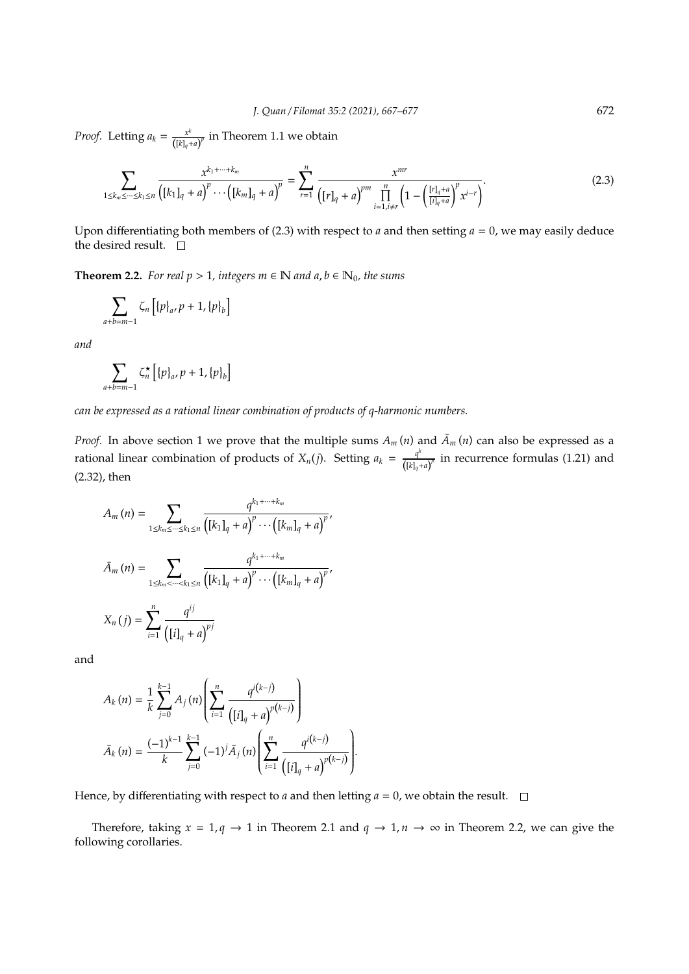*Proof.* Letting  $a_k = \frac{x^k}{(k+1)^k}$  $\frac{x^{\cdots}}{([k]_q + a)^p}$  in Theorem 1.1 we obtain

$$
\sum_{1 \le k_m \le \dots \le k_1 \le n} \frac{x^{k_1 + \dots + k_m}}{\left([k_1]_q + a\right)^p \dots \left([k_m]_q + a\right)^p} = \sum_{r=1}^n \frac{x^{mr}}{\left([r]_q + a\right)^{pm} \prod_{i=1, i \ne r}^n \left(1 - \left(\frac{[r]_q + a}{[i]_q + a}\right)^p x^{i-r}\right)}.
$$
\n(2.3)

Upon differentiating both members of (2.3) with respect to *a* and then setting *a* = 0, we may easily deduce the desired result.  $\quad \Box$ 

**Theorem 2.2.** *For real p* > 1*, integers m*  $\in$  N *and a, b*  $\in$  N<sub>0</sub>*, the sums* 

$$
\sum_{a+b=m-1} \zeta_n [ \{p\}_a, p+1, \{p\}_b ]
$$

*and*

*a*+*b*=*m*−1

$$
\sum_{+b=m-1} \zeta_n^{\star} \left[ \{p\}_a, p+1, \{p\}_b \right]
$$

*can be expressed as a rational linear combination of products of q-harmonic numbers.*

*Proof.* In above section 1 we prove that the multiple sums  $A_m(n)$  and  $\bar{A}_m(n)$  can also be expressed as a rational linear combination of products of  $X_n(j)$ . Setting  $a_k = \frac{q^k}{(k!)^k}$  $\frac{q}{([k]_q + a)^p}$  in recurrence formulas (1.21) and (2.32), then

$$
A_{m}(n) = \sum_{1 \leq k_{m} \leq \dots \leq k_{1} \leq n} \frac{q^{k_{1} + \dots + k_{m}}}{\left([k_{1}]_{q} + a\right)^{p} \dots \left([k_{m}]_{q} + a\right)^{p}},
$$

$$
\bar{A}_{m}(n) = \sum_{1 \leq k_{m} \leq \dots \leq k_{1} \leq n} \frac{q^{k_{1} + \dots + k_{m}}}{\left([k_{1}]_{q} + a\right)^{p} \dots \left([k_{m}]_{q} + a\right)^{p}},
$$

$$
X_{n}(j) = \sum_{i=1}^{n} \frac{q^{ij}}{\left([i]_{q} + a\right)^{p_{j}}}
$$

and

$$
A_{k}(n) = \frac{1}{k} \sum_{j=0}^{k-1} A_{j}(n) \left( \sum_{i=1}^{n} \frac{q^{i(k-j)}}{([i]_{q} + a)^{p(k-j)}} \right)
$$

$$
\bar{A}_{k}(n) = \frac{(-1)^{k-1}}{k} \sum_{j=0}^{k-1} (-1)^{j} \bar{A}_{j}(n) \left( \sum_{i=1}^{n} \frac{q^{i(k-j)}}{([i]_{q} + a)^{p(k-j)}} \right)
$$

Hence, by differentiating with respect to *a* and then letting  $a = 0$ , we obtain the result.  $\square$ 

Therefore, taking  $x = 1, q \rightarrow 1$  in Theorem 2.1 and  $q \rightarrow 1, n \rightarrow \infty$  in Theorem 2.2, we can give the following corollaries.

.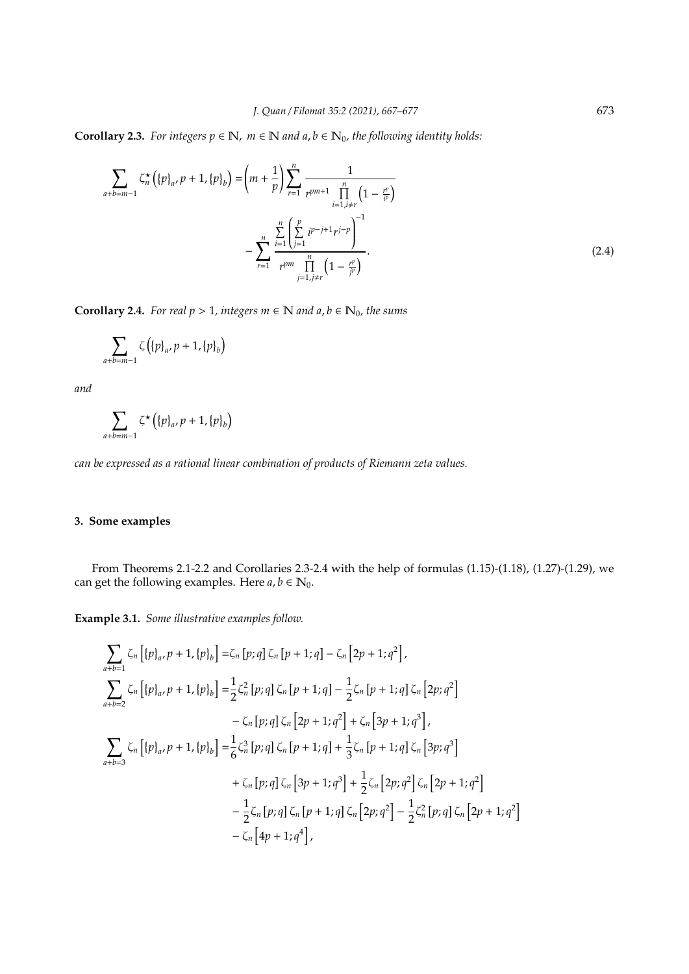**Corollary 2.3.** *For integers*  $p \in \mathbb{N}$ *,*  $m \in \mathbb{N}$  *and*  $a, b \in \mathbb{N}_0$ *, the following identity holds:* 

$$
\sum_{a+b=m-1} \zeta_n^{\star} \left( \{p\}_{a}, p+1, \{p\}_{b} \right) = \left( m + \frac{1}{p} \right) \sum_{r=1}^n \frac{1}{r^{pm+1} \prod_{\substack{i=1, i \neq r}}^n \left( 1 - \frac{r^p}{i^p} \right)} - \sum_{r=1}^n \frac{\sum_{i=1}^n \left( \sum_{j=1}^p i^{p-j+1} r^{j-p} \right)^{-1}}{r^{pm} \prod_{j=1, j \neq r}^n \left( 1 - \frac{r^p}{j^p} \right)}.
$$
\n(2.4)

**Corollary 2.4.** *For real*  $p$  > 1*, integers*  $m$  ∈  $N$  *and a, b* ∈  $N_0$ *, the sums* 

$$
\sum_{a+b=m-1} \zeta\left(\{p\}_{a}, p+1, \{p\}_{b}\right)
$$

*and*

$$
\sum_{a+b=m-1}\zeta^{\star}\left(\left\{p\right\}_{a},p+1,\left\{p\right\}_{b}\right)
$$

*can be expressed as a rational linear combination of products of Riemann zeta values.*

## **3. Some examples**

From Theorems 2.1-2.2 and Corollaries 2.3-2.4 with the help of formulas (1.15)-(1.18), (1.27)-(1.29), we can get the following examples. Here  $a, b \in \mathbb{N}_0$ .

**Example 3.1.** *Some illustrative examples follow.*

$$
\sum_{a+b=1} \zeta_n [\{p\}_{a}, p+1, \{p\}_{b}] = \zeta_n [p; q] \zeta_n [p+1; q] - \zeta_n [2p+1; q^2],
$$
\n
$$
\sum_{a+b=2} \zeta_n [\{p\}_{a}, p+1, \{p\}_{b}] = \frac{1}{2} \zeta_n^2 [p; q] \zeta_n [p+1; q] - \frac{1}{2} \zeta_n [p+1; q] \zeta_n [2p; q^2] - \zeta_n [p; q] \zeta_n [2p+1; q^2] + \zeta_n [3p+1; q^3],
$$
\n
$$
\sum_{a+b=3} \zeta_n [\{p\}_{a}, p+1, \{p\}_{b}] = \frac{1}{6} \zeta_n^3 [p; q] \zeta_n [p+1; q] + \frac{1}{3} \zeta_n [p+1; q] \zeta_n [3p; q^3] + \zeta_n [p; q] \zeta_n [3p+1; q^3] + \frac{1}{2} \zeta_n [2p; q^2] \zeta_n [2p+1; q^2] - \frac{1}{2} \zeta_n [p; q] \zeta_n [p+1; q] \zeta_n [2p; q^2] - \frac{1}{2} \zeta_n^2 [p; q] \zeta_n [2p+1; q^2] - \zeta_n [4p+1; q^4],
$$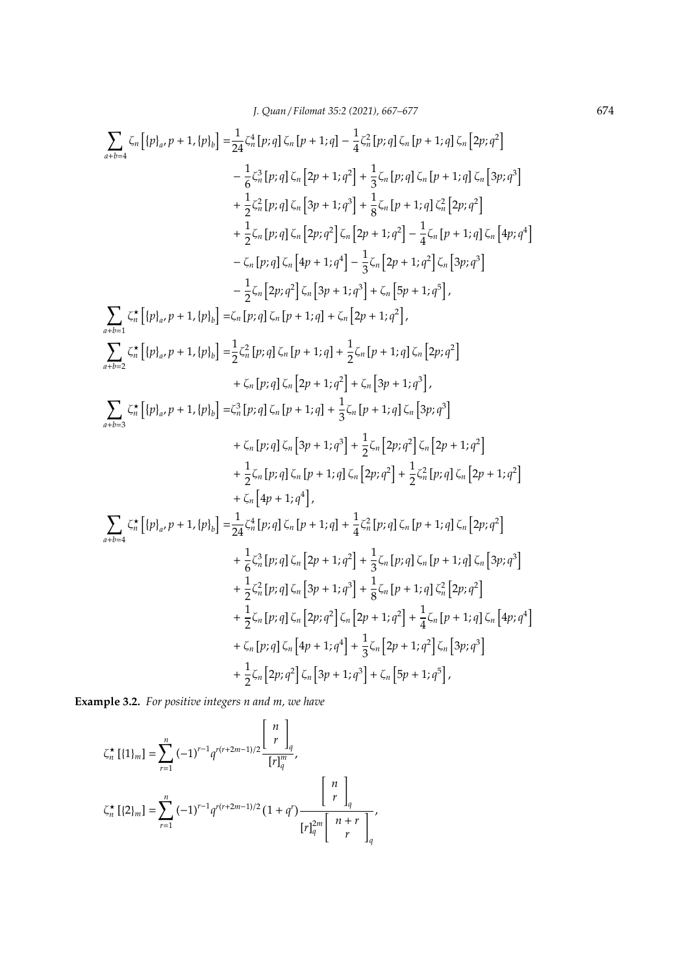$$
\sum_{a+b=4} \zeta_n \left[ \{p\}_a, p+1, \{p\}_b \right] = \frac{1}{24} \zeta_n^4 \left[ p; q \right] \zeta_n \left[ p+1; q \right] - \frac{1}{4} \zeta_n^2 \left[ p; q \right] \zeta_n \left[ p+1; q \right] \zeta_n \left[ 2p; q^2 \right] \n- \frac{1}{6} \zeta_n^3 \left[ p; q \right] \zeta_n \left[ 2p+1; q^2 \right] + \frac{1}{3} \zeta_n \left[ p; q \right] \zeta_n \left[ p+1; q \right] \zeta_n \left[ 3p; q^3 \right] \n+ \frac{1}{2} \zeta_n^2 \left[ p; q \right] \zeta_n \left[ 3p+1; q^3 \right] + \frac{1}{8} \zeta_n \left[ p+1; q \right] \zeta_n^2 \left[ 2p; q^2 \right] \n+ \frac{1}{2} \zeta_n \left[ p; q \right] \zeta_n \left[ 2p; q^2 \right] \zeta_n \left[ 2p+1; q^2 \right] - \frac{1}{4} \zeta_n \left[ p+1; q \right] \zeta_n \left[ 4p; q^4 \right] \n- \zeta_n \left[ p; q \right] \zeta_n \left[ 4p+1; q^4 \right] - \frac{1}{3} \zeta_n \left[ 2p+1; q^2 \right] \zeta_n \left[ 3p; q^3 \right] \n- \frac{1}{2} \zeta_n \left[ 2p; q^2 \right] \zeta_n \left[ 3p+1; q^3 \right] + \zeta_n \left[ 5p+1; q^5 \right],
$$
\n
$$
\sum_{a+b=1} \zeta_n^* \left[ \{p\}_a, p+1, \{p\}_b \right] = \zeta_n \left[ p; q \right] \zeta_n \left[ p+1; q \right] + \zeta_n \left[ 2p+1; q^2 \right] \n+ \zeta_n \left[ p; q \right] \zeta_n \left[ 2p+1; q^2 \right] + \zeta_n \left[ 2p; q^2 \right] \n+ \zeta_n \left[ p; q \right] \zeta_n \left[ 2p+1; q^2 \right] + \zeta_n \left
$$

**Example 3.2.** *For positive integers n and m, we have*

$$
\zeta_n^{\star} \left[ \{1\}_m \right] = \sum_{r=1}^n (-1)^{r-1} q^{r(r+2m-1)/2} \frac{\left[ \begin{array}{c} n \\ r \end{array} \right]_q}{[r]_q^m},
$$
\n
$$
\zeta_n^{\star} \left[ \{2\}_m \right] = \sum_{r=1}^n (-1)^{r-1} q^{r(r+2m-1)/2} \left(1 + q^r \right) \frac{\left[ \begin{array}{c} n \\ r \end{array} \right]_q}{[r]_q^2}.
$$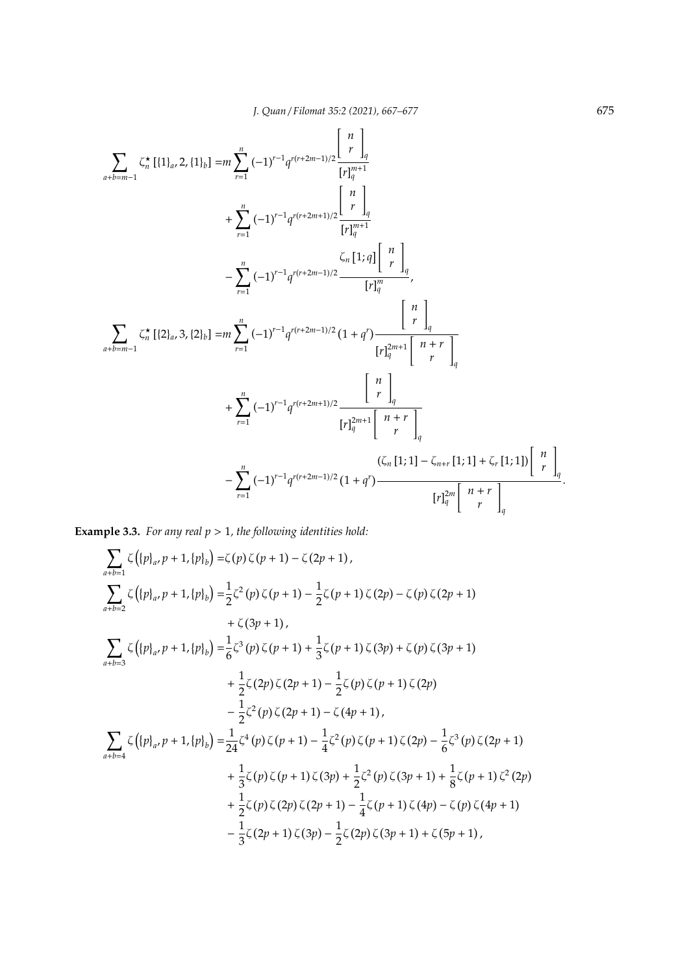$$
\sum_{a+b=m-1} \zeta_n^{\star} \left[ \{1\}_a, 2, \{1\}_b \right] = m \sum_{r=1}^n (-1)^{r-1} q^{r(r+2m-1)/2} \frac{\left[ n \atop r \right]_q}{\left[ r \right]_q^{m+1}} + \sum_{r=1}^n (-1)^{r-1} q^{r(r+2m+1)/2} \frac{\left[ n \atop r \right]_q}{\left[ r \right]_q^{m+1}} - \sum_{r=1}^n (-1)^{r-1} q^{r(r+2m-1)/2} \frac{\zeta_n \left[ 1; q \right] \left[ n \atop r \right]_q}{\left[ r \right]_q^{m}},
$$
\n
$$
\sum_{a+b=m-1} \zeta_n^{\star} \left[ \{2\}_a, 3, \{2\}_b \right] = m \sum_{r=1}^n (-1)^{r-1} q^{r(r+2m-1)/2} \frac{\left[ n \atop r \right]_q}{\left[ r \right]_q^{2m+1}} \frac{\left[ n \atop r \right]_q}{\left[ r \right]_q^{2m+1}} + \sum_{r=1}^n (-1)^{r-1} q^{r(r+2m+1)/2} \frac{\left[ n \atop r \right]_q}{\left[ r \right]_q^{2m+1}} \frac{\left[ n \atop r \right]_q}{\left[ r \right]_q^{2m+1}} - \sum_{r=1}^n (-1)^{r-1} q^{r(r+2m-1)/2} \frac{\left( \zeta_n \left[ 1; 1 \right] - \zeta_{n+r} \left[ 1; 1 \right] + \zeta_r \left[ 1; 1 \right] \right) \left[ n \atop r \right]_q}{\left[ r \right]_q^{2m}}.
$$

**Example 3.3.** *For any real p* > 1*, the following identities hold:*

$$
\sum_{a+b=1} \zeta \left( \{p\}_{a}, p+1, \{p\}_{b} \right) = \zeta(p) \zeta(p+1) - \zeta(2p+1),
$$
\n
$$
\sum_{a+b=2} \zeta \left( \{p\}_{a}, p+1, \{p\}_{b} \right) = \frac{1}{2} \zeta^{2}(p) \zeta(p+1) - \frac{1}{2} \zeta(p+1) \zeta(2p) - \zeta(p) \zeta(2p+1)
$$
\n
$$
+ \zeta(3p+1),
$$
\n
$$
\sum_{a+b=3} \zeta \left( \{p\}_{a}, p+1, \{p\}_{b} \right) = \frac{1}{6} \zeta^{3}(p) \zeta(p+1) + \frac{1}{3} \zeta(p+1) \zeta(3p) + \zeta(p) \zeta(3p+1)
$$
\n
$$
+ \frac{1}{2} \zeta(2p) \zeta(2p+1) - \frac{1}{2} \zeta(p) \zeta(p+1) \zeta(2p)
$$
\n
$$
- \frac{1}{2} \zeta^{2}(p) \zeta(2p+1) - \zeta(4p+1),
$$
\n
$$
\sum_{a+b=4} \zeta \left( \{p\}_{a}, p+1, \{p\}_{b} \right) = \frac{1}{24} \zeta^{4}(p) \zeta(p+1) - \frac{1}{4} \zeta^{2}(p) \zeta(p+1) \zeta(2p) - \frac{1}{6} \zeta^{3}(p) \zeta(2p+1)
$$
\n
$$
+ \frac{1}{3} \zeta(p) \zeta(p+1) \zeta(3p) + \frac{1}{2} \zeta^{2}(p) \zeta(3p+1) + \frac{1}{8} \zeta(p+1) \zeta^{2}(2p)
$$
\n
$$
+ \frac{1}{2} \zeta(p) \zeta(2p) \zeta(2p+1) - \frac{1}{4} \zeta(p+1) \zeta(4p) - \zeta(p) \zeta(4p+1)
$$
\n
$$
- \frac{1}{3} \zeta(2p+1) \zeta(3p) - \frac{1}{2} \zeta(2p) \zeta(3p+1) + \zeta(5p+1),
$$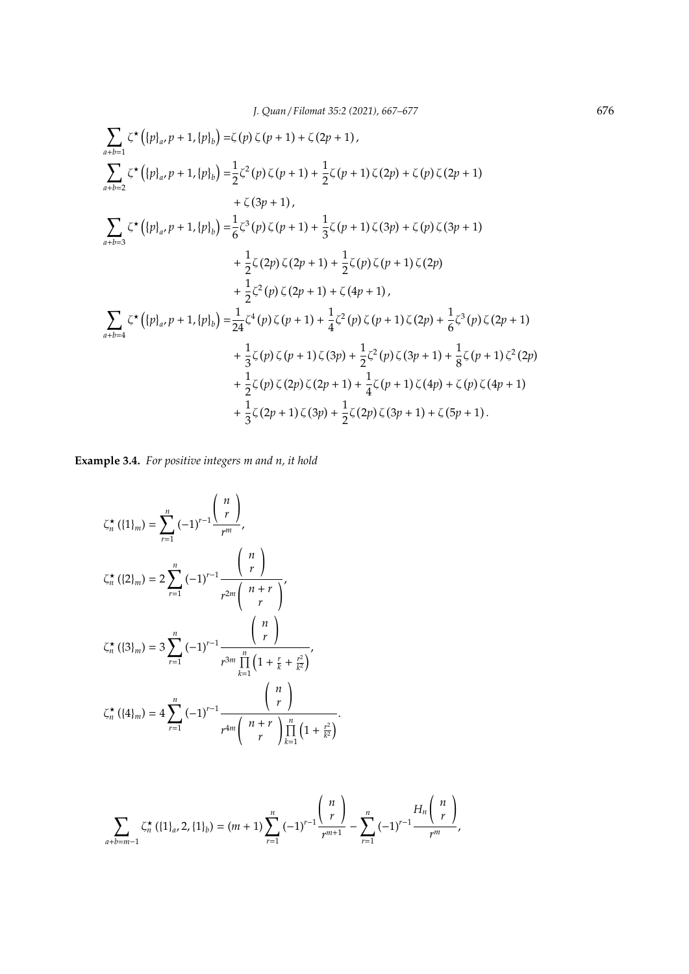$$
\sum_{a+b=1} \zeta^{\star} \left( \{p\}_{a}, p+1, \{p\}_{b} \right) = \zeta(p) \zeta(p+1) + \zeta(2p+1),
$$
\n
$$
\sum_{a+b=2} \zeta^{\star} \left( \{p\}_{a}, p+1, \{p\}_{b} \right) = \frac{1}{2} \zeta^{2} (p) \zeta(p+1) + \frac{1}{2} \zeta(p+1) \zeta(2p) + \zeta(p) \zeta(2p+1)
$$
\n
$$
+ \zeta(3p+1),
$$
\n
$$
\sum_{a+b=3} \zeta^{\star} \left( \{p\}_{a}, p+1, \{p\}_{b} \right) = \frac{1}{6} \zeta^{3} (p) \zeta(p+1) + \frac{1}{3} \zeta(p+1) \zeta(3p) + \zeta(p) \zeta(3p+1)
$$
\n
$$
+ \frac{1}{2} \zeta(2p) \zeta(2p+1) + \frac{1}{2} \zeta(p) \zeta(p+1) \zeta(2p)
$$
\n
$$
+ \frac{1}{2} \zeta^{2} (p) \zeta(2p+1) + \zeta(4p+1),
$$
\n
$$
\sum_{a+b=4} \zeta^{\star} \left( \{p\}_{a}, p+1, \{p\}_{b} \right) = \frac{1}{24} \zeta^{4} (p) \zeta(p+1) + \frac{1}{4} \zeta^{2} (p) \zeta(p+1) \zeta(2p) + \frac{1}{6} \zeta^{3} (p) \zeta(2p+1)
$$
\n
$$
+ \frac{1}{3} \zeta(p) \zeta(p+1) \zeta(3p) + \frac{1}{2} \zeta^{2} (p) \zeta(3p+1) + \frac{1}{8} \zeta(p+1) \zeta^{2} (2p)
$$
\n
$$
+ \frac{1}{2} \zeta(p) \zeta(2p) \zeta(2p+1) + \frac{1}{4} \zeta(p+1) \zeta(4p) + \zeta(p) \zeta(4p+1)
$$
\n
$$
+ \frac{1}{3} \zeta(2p+1) \zeta(3p) + \frac{1}{2} \zeta(2p) \zeta(3p+1) + \zeta(5p
$$

**Example 3.4.** *For positive integers m and n, it hold*

$$
\zeta_n^{\star} (\{1\}_m) = \sum_{r=1}^n (-1)^{r-1} \frac{{\binom{n}{r}}}{r^m},
$$
  

$$
\zeta_n^{\star} (\{2\}_m) = 2 \sum_{r=1}^n (-1)^{r-1} \frac{{\binom{n}{r}}}{r^{2m} {\binom{n+r}{r}}},
$$
  

$$
\zeta_n^{\star} (\{3\}_m) = 3 \sum_{r=1}^n (-1)^{r-1} \frac{{\binom{n}{r}}}{r^{3m} \prod_{k=1}^n (1 + \frac{r}{k} + \frac{r^2}{k^2})},
$$
  

$$
\zeta_n^{\star} (\{4\}_m) = 4 \sum_{r=1}^n (-1)^{r-1} \frac{{\binom{n}{r}}}{r^{4m} {\binom{n+r}{r}} \prod_{k=1}^n (1 + \frac{r^2}{k^2})}.
$$

$$
\sum_{a+b=m-1} \zeta_n^{\star} (\{1\}_a, 2, \{1\}_b) = (m+1) \sum_{r=1}^n (-1)^{r-1} \frac{\binom{n}{r}}{r^{m+1}} - \sum_{r=1}^n (-1)^{r-1} \frac{H_n \binom{n}{r}}{r^m},
$$